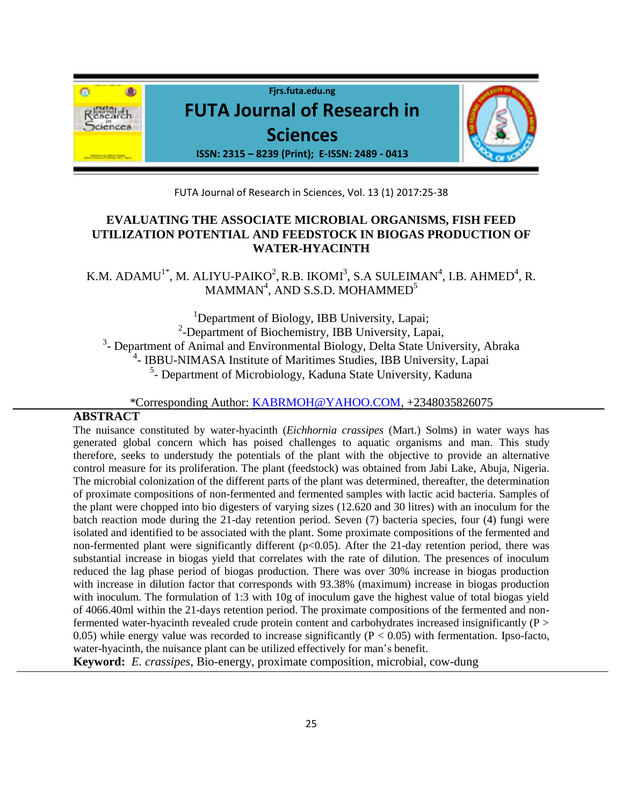

FUTA Journal of Research in Sciences, Vol. 13 (1) 2017:25-38

### **EVALUATING THE ASSOCIATE MICROBIAL ORGANISMS, FISH FEED UTILIZATION POTENTIAL AND FEEDSTOCK IN BIOGAS PRODUCTION OF WATER-HYACINTH**

K.M. ADAMU<sup>1\*</sup>, M. ALIYU-PAIKO<sup>2</sup>, R.B. IKOMI<sup>3</sup>, S.A SULEIMAN<sup>4</sup>, I.B. AHMED<sup>4</sup>, R.  $\mathsf{MAMMAN}^4$ , AND S.S.D.  $\mathsf{MOHAMMED}^5$ 

<sup>1</sup>Department of Biology, IBB University, Lapai; <sup>2</sup>-Department of Biochemistry, IBB University, Lapai,  $3$ - Department of Animal and Environmental Biology, Delta State University, Abraka 4 - IBBU-NIMASA Institute of Maritimes Studies, IBB University, Lapai <sup>5</sup>- Department of Microbiology, Kaduna State University, Kaduna

*\**Corresponding Author: [KABRMOH@YAHOO.COM,](mailto:kabrmoh@yahoo.com) +2348035826075

### **ABSTRACT**

The nuisance constituted by water-hyacinth (*Eichhornia crassipes* (Mart.) Solms) in water ways has generated global concern which has poised challenges to aquatic organisms and man. This study therefore, seeks to understudy the potentials of the plant with the objective to provide an alternative control measure for its proliferation. The plant (feedstock) was obtained from Jabi Lake, Abuja, Nigeria. The microbial colonization of the different parts of the plant was determined, thereafter, the determination of proximate compositions of non-fermented and fermented samples with lactic acid bacteria. Samples of the plant were chopped into bio digesters of varying sizes (12.620 and 30 litres) with an inoculum for the batch reaction mode during the 21-day retention period. Seven (7) bacteria species, four (4) fungi were isolated and identified to be associated with the plant. Some proximate compositions of the fermented and non-fermented plant were significantly different (p<0.05). After the 21-day retention period, there was substantial increase in biogas yield that correlates with the rate of dilution. The presences of inoculum reduced the lag phase period of biogas production. There was over 30% increase in biogas production with increase in dilution factor that corresponds with 93.38% (maximum) increase in biogas production with inoculum. The formulation of 1:3 with 10g of inoculum gave the highest value of total biogas yield of 4066.40ml within the 21-days retention period. The proximate compositions of the fermented and nonfermented water-hyacinth revealed crude protein content and carbohydrates increased insignificantly (P > 0.05) while energy value was recorded to increase significantly  $(P < 0.05)$  with fermentation. Ipso-facto, water-hyacinth, the nuisance plant can be utilized effectively for man's benefit.

**Keyword:** *E. crassipes*, Bio-energy, proximate composition, microbial, cow-dung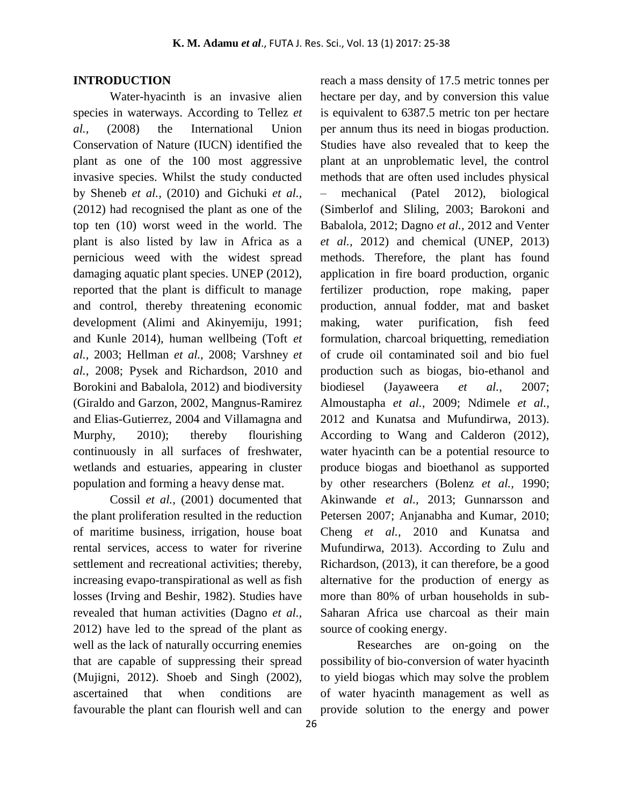#### **INTRODUCTION**

Water-hyacinth is an invasive alien species in waterways. According to Tellez *et al.,* (2008) the International Union Conservation of Nature (IUCN) identified the plant as one of the 100 most aggressive invasive species. Whilst the study conducted by Sheneb *et al.,* (2010) and Gichuki *et al.,* (2012) had recognised the plant as one of the top ten (10) worst weed in the world. The plant is also listed by law in Africa as a pernicious weed with the widest spread damaging aquatic plant species. UNEP (2012), reported that the plant is difficult to manage and control, thereby threatening economic development (Alimi and Akinyemiju, 1991; and Kunle 2014), human wellbeing (Toft *et al.,* 2003; Hellman *et al.,* 2008; Varshney *et al.,* 2008; Pysek and Richardson, 2010 and Borokini and Babalola, 2012) and biodiversity (Giraldo and Garzon, 2002, Mangnus-Ramirez and Elias-Gutierrez, 2004 and Villamagna and Murphy, 2010); thereby flourishing continuously in all surfaces of freshwater, wetlands and estuaries, appearing in cluster population and forming a heavy dense mat.

Cossil *et al.,* (2001) documented that the plant proliferation resulted in the reduction of maritime business, irrigation, house boat rental services, access to water for riverine settlement and recreational activities; thereby, increasing evapo-transpirational as well as fish losses (Irving and Beshir, 1982). Studies have revealed that human activities (Dagno *et al.,* 2012) have led to the spread of the plant as well as the lack of naturally occurring enemies that are capable of suppressing their spread (Mujigni, 2012). Shoeb and Singh (2002), ascertained that when conditions are favourable the plant can flourish well and can

hectare per day, and by conversion this value is equivalent to 6387.5 metric ton per hectare per annum thus its need in biogas production. Studies have also revealed that to keep the plant at an unproblematic level, the control methods that are often used includes physical – mechanical (Patel 2012), biological (Simberlof and Sliling, 2003; Barokoni and Babalola, 2012; Dagno *et al.,* 2012 and Venter *et al.,* 2012) and chemical (UNEP, 2013) methods. Therefore, the plant has found application in fire board production, organic fertilizer production, rope making, paper production, annual fodder, mat and basket making, water purification, fish feed formulation, charcoal briquetting, remediation of crude oil contaminated soil and bio fuel production such as biogas, bio-ethanol and biodiesel (Jayaweera *et al.,* 2007; Almoustapha *et al.,* 2009; Ndimele *et al.,* 2012 and Kunatsa and Mufundirwa, 2013). According to Wang and Calderon (2012), water hyacinth can be a potential resource to produce biogas and bioethanol as supported by other researchers (Bolenz *et al.,* 1990; Akinwande *et al.,* 2013; Gunnarsson and Petersen 2007; Anjanabha and Kumar, 2010; Cheng *et al.,* 2010 and Kunatsa and Mufundirwa, 2013). According to Zulu and Richardson, (2013), it can therefore, be a good alternative for the production of energy as more than 80% of urban households in sub-Saharan Africa use charcoal as their main source of cooking energy.

reach a mass density of 17.5 metric tonnes per

Researches are on-going on the possibility of bio-conversion of water hyacinth to yield biogas which may solve the problem of water hyacinth management as well as provide solution to the energy and power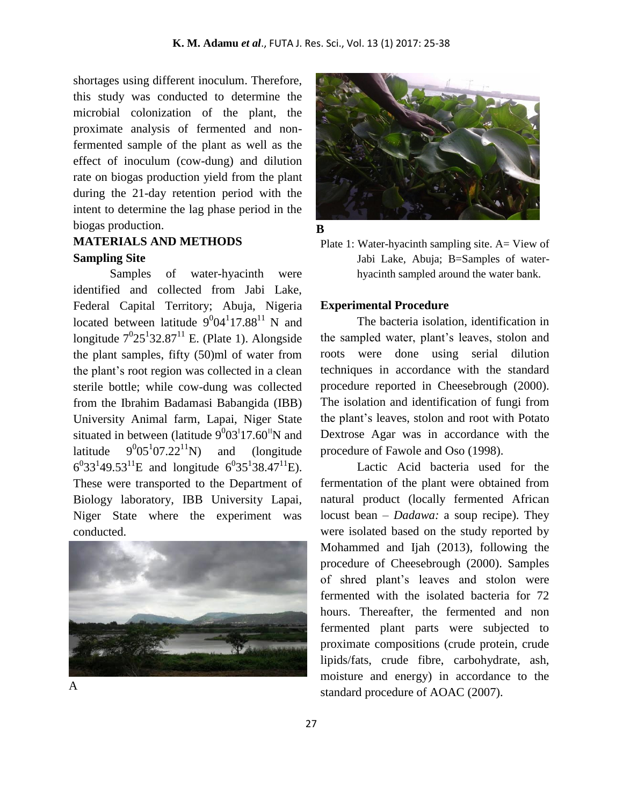shortages using different inoculum. Therefore, this study was conducted to determine the microbial colonization of the plant, the proximate analysis of fermented and nonfermented sample of the plant as well as the effect of inoculum (cow-dung) and dilution rate on biogas production yield from the plant during the 21-day retention period with the intent to determine the lag phase period in the biogas production.

# **MATERIALS AND METHODS Sampling Site**

Samples of water-hyacinth were identified and collected from Jabi Lake, Federal Capital Territory; Abuja, Nigeria located between latitude  $9^{0}04^{1}17.88^{11}$  N and longitude  $7^025^132.87^{11}$  E. (Plate 1). Alongside the plant samples, fifty (50)ml of water from the plant's root region was collected in a clean sterile bottle; while cow-dung was collected from the Ibrahim Badamasi Babangida (IBB) University Animal farm, Lapai, Niger State situated in between (latitude  $9^{0}03'17.60''$ N and latitude  $05^{1}07.22^{11}N$  and (longitude  $6^033^149.53^{11}E$  and longitude  $6^035^138.47^{11}E$ ). These were transported to the Department of Biology laboratory, IBB University Lapai, Niger State where the experiment was conducted.







**B**

Plate 1: Water-hyacinth sampling site. A= View of Jabi Lake, Abuja; B=Samples of waterhyacinth sampled around the water bank.

### **Experimental Procedure**

The bacteria isolation, identification in the sampled water, plant's leaves, stolon and roots were done using serial dilution techniques in accordance with the standard procedure reported in Cheesebrough (2000). The isolation and identification of fungi from the plant's leaves, stolon and root with Potato Dextrose Agar was in accordance with the procedure of Fawole and Oso (1998).

Lactic Acid bacteria used for the fermentation of the plant were obtained from natural product (locally fermented African locust bean – *Dadawa:* a soup recipe). They were isolated based on the study reported by Mohammed and Ijah (2013), following the procedure of Cheesebrough (2000). Samples of shred plant's leaves and stolon were fermented with the isolated bacteria for 72 hours. Thereafter, the fermented and non fermented plant parts were subjected to proximate compositions (crude protein, crude lipids/fats, crude fibre, carbohydrate, ash, moisture and energy) in accordance to the standard procedure of AOAC (2007).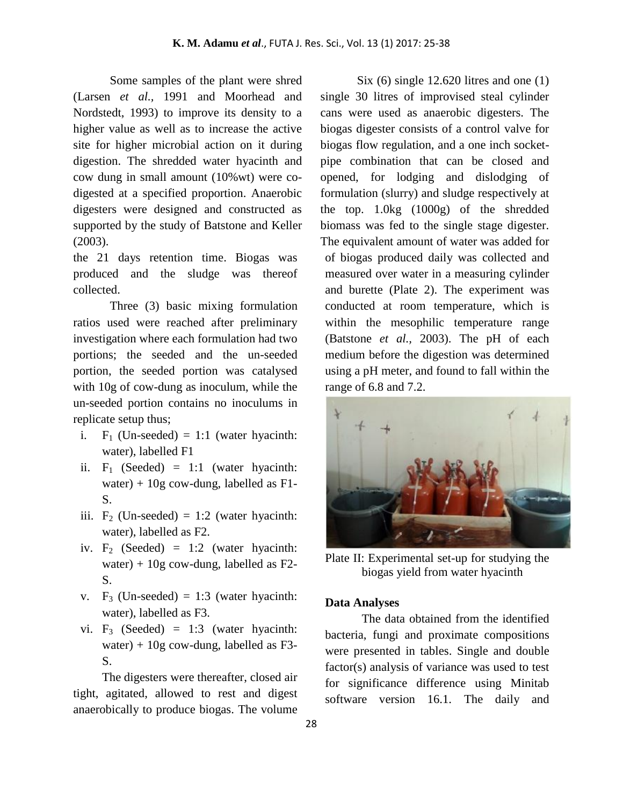Some samples of the plant were shred (Larsen *et al.,* 1991 and Moorhead and Nordstedt, 1993) to improve its density to a higher value as well as to increase the active site for higher microbial action on it during digestion. The shredded water hyacinth and cow dung in small amount (10%wt) were codigested at a specified proportion. Anaerobic digesters were designed and constructed as supported by the study of Batstone and Keller (2003).

the 21 days retention time. Biogas was produced and the sludge was thereof collected.

Three (3) basic mixing formulation ratios used were reached after preliminary investigation where each formulation had two portions; the seeded and the un-seeded portion, the seeded portion was catalysed with 10g of cow-dung as inoculum, while the un-seeded portion contains no inoculums in replicate setup thus;

- i. F<sub>1</sub> (Un-seeded) = 1:1 (water hyacinth: water), labelled F1
- ii.  $F_1$  (Seeded) = 1:1 (water hyacinth: water) +  $10g$  cow-dung, labelled as F1-S.
- iii.  $F_2$  (Un-seeded) = 1:2 (water hyacinth: water), labelled as F2.
- iv.  $F_2$  (Seeded) = 1:2 (water hyacinth: water) + 10g cow-dung, labelled as F2- S.
- v.  $F_3$  (Un-seeded) = 1:3 (water hyacinth: water), labelled as F3.
- vi.  $F_3$  (Seeded) = 1:3 (water hyacinth: water) +  $10g$  cow-dung, labelled as F3-S.

The digesters were thereafter, closed air tight, agitated, allowed to rest and digest anaerobically to produce biogas. The volume

Six  $(6)$  single 12.620 litres and one  $(1)$ single 30 litres of improvised steal cylinder cans were used as anaerobic digesters. The biogas digester consists of a control valve for biogas flow regulation, and a one inch socketpipe combination that can be closed and opened, for lodging and dislodging of formulation (slurry) and sludge respectively at the top. 1.0kg (1000g) of the shredded biomass was fed to the single stage digester. The equivalent amount of water was added for of biogas produced daily was collected and measured over water in a measuring cylinder and burette (Plate 2). The experiment was conducted at room temperature, which is within the mesophilic temperature range (Batstone *et al.,* 2003). The pH of each medium before the digestion was determined using a pH meter, and found to fall within the range of 6.8 and 7.2.



Plate II: Experimental set-up for studying the biogas yield from water hyacinth

#### **Data Analyses**

The data obtained from the identified bacteria, fungi and proximate compositions were presented in tables. Single and double factor(s) analysis of variance was used to test for significance difference using Minitab software version 16.1. The daily and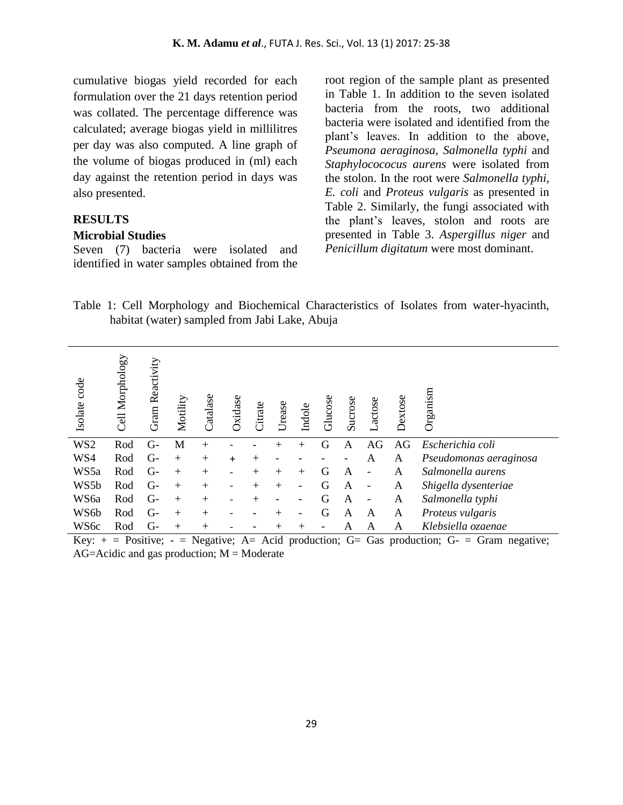cumulative biogas yield recorded for each formulation over the 21 days retention period was collated. The percentage difference was calculated; average biogas yield in millilitres per day was also computed. A line graph of the volume of biogas produced in (ml) each day against the retention period in days was also presented.

### **RESULTS**

#### **Microbial Studies**

Seven (7) bacteria were isolated and identified in water samples obtained from the

root region of the sample plant as presented in Table 1. In addition to the seven isolated bacteria from the roots, two additional bacteria were isolated and identified from the plant's leaves. In addition to the above, *Pseumona aeraginosa, Salmonella typhi* and *Staphylocococus aurens* were isolated from the stolon. In the root were *Salmonella typhi, E. coli* and *Proteus vulgaris* as presented in Table 2. Similarly, the fungi associated with the plant's leaves, stolon and roots are presented in Table 3. *Aspergillus niger* and *Penicillum digitatum* were most dominant.

Table 1: Cell Morphology and Biochemical Characteristics of Isolates from water-hyacinth, habitat (water) sampled from Jabi Lake, Abuja

| code<br>Isolate | Cell Morphology | Gram Reactivity | Motility | Catalas | Oxidase | Citrate        | Urease       | Indole | Glucose | Sucrose | actose | Dextose | Organism               |
|-----------------|-----------------|-----------------|----------|---------|---------|----------------|--------------|--------|---------|---------|--------|---------|------------------------|
| WS <sub>2</sub> | Rod             | $G-$            | М        | $+$     |         |                | $\pm$        | $^{+}$ | G       | A       | AG     | AG      | Escherichia coli       |
| WS4             | Rod             | $G-$            | $+$      | $^{+}$  | +       | $\, +$         |              |        |         |         | A      | A       | Pseudomonas aeraginosa |
| WS5a            | Rod             | $G-$            | $+$      | $+$     |         | $^{+}$         | $^{+}$       | $^{+}$ | G       | A       |        | A       | Salmonella aurens      |
| WS5b            | Rod             | $G-$            | $^{+}$   | $^{+}$  |         | $\, +$         | $\mathrm{+}$ |        | G       | A       |        | A       | Shigella dysenteriae   |
| WS6a            | Rod             | $G-$            | $\, +$   | $\pm$   |         | $\overline{+}$ |              |        | G       | A       |        | A       | Salmonella typhi       |
| WS6b            | Rod             | $G-$            | $+$      | $^{+}$  |         |                | $\mathrm{+}$ |        | G       | A       | A      | A       | Proteus vulgaris       |
| WS6c            | Rod             | G-              | $^+$     | $^+$    |         |                |              |        |         | А       | Α      | A       | Klebsiella ozaenae     |

Key:  $+=$  Positive;  $-$  = Negative; A= Acid production; G= Gas production; G- = Gram negative;  $AG = Acidic$  and gas production;  $M = Moderate$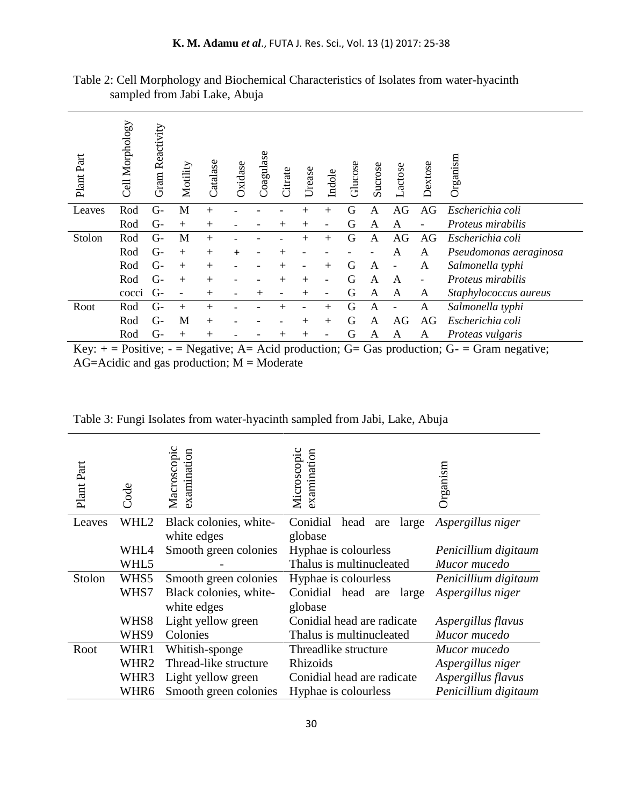Table 2: Cell Morphology and Biochemical Characteristics of Isolates from water-hyacinth sampled from Jabi Lake, Abuja

| Plant Part | Cell Morphology | Gram Reactivity | Motility                 | Catalase | Oxidase   | Coagulase | Citrate      | Urease             | Indole       | Glucose | Sucrose      | Lactose                  | Dextose                  | Organism                 |
|------------|-----------------|-----------------|--------------------------|----------|-----------|-----------|--------------|--------------------|--------------|---------|--------------|--------------------------|--------------------------|--------------------------|
| Leaves     | Rod             | $G-$            | M                        | $^{+}$   |           |           |              | $\hspace{0.1mm} +$ | $\mathrm{+}$ | G       | A            | AG                       | AG                       | Escherichia coli         |
|            | Rod             | $G-$            | $+$                      | $+$      |           |           | $\, +$       | $+$                |              | G       | A            | A                        |                          | Proteus mirabilis        |
| Stolon     | Rod             | $G-$            | M                        | $^{+}$   |           |           |              | $^{+}$             | $^{+}$       | G       | A            | AG                       | AG                       | Escherichia coli         |
|            | Rod             | $G-$            | $+$                      | $+$      | $\ddot{}$ |           | ┿            |                    |              |         |              | A                        | A                        | Pseudomonas aeraginosa   |
|            | Rod             | $G-$            | $+$                      | $+$      |           |           | $\, +$       |                    | $^{+}$       | G       | $\mathbf{A}$ | $\overline{\phantom{0}}$ | $\mathbf{A}$             | Salmonella typhi         |
|            | Rod             | $G-$            | $+$                      | $+$      |           |           | $\mathrm{+}$ | $+$                |              | G       | $\mathbf{A}$ | A                        | $\overline{\phantom{0}}$ | <i>Proteus mirabilis</i> |
|            | cocci           | $G-$            | $\overline{\phantom{0}}$ | $+$      |           | $\pm$     |              | $^{+}$             |              | G       | A            | A                        | A                        | Staphylococcus aureus    |
| Root       | Rod             | $G-$            | $^{+}$                   | $^{+}$   |           |           | $\, +$       |                    | $^{+}$       | G       | $\mathbf{A}$ |                          | A                        | Salmonella typhi         |
|            | Rod             | $G-$            | M                        | $+$      |           |           |              | $^{+}$             | $^{+}$       | G       | A            | AG                       | AG                       | Escherichia coli         |
|            | Rod             | G-              | $^{+}$                   | $^{+}$   |           |           |              | $^+$               |              | G       | A            | A                        | A                        | Proteas vulgaris         |

Key:  $+$  = Positive;  $-$  = Negative; A= Acid production; G= Gas production; G- = Gram negative;  $AG =$ Acidic and gas production;  $M =$ Moderate

| Plant Part | $S$ ode          | Macroscopic<br>examination | Microscopic<br>examination       | Organism             |
|------------|------------------|----------------------------|----------------------------------|----------------------|
| Leaves     | WHL2             | Black colonies, white-     | Conidial<br>head<br>large<br>are | Aspergillus niger    |
|            |                  | white edges                | globase                          |                      |
|            | WHL4             | Smooth green colonies      | Hyphae is colourless             | Penicillium digitaum |
|            | WHL5             |                            | Thalus is multinucleated         | Mucor mucedo         |
| Stolon     | WHS5             | Smooth green colonies      | Hyphae is colourless             | Penicillium digitaum |
|            | WHS7             | Black colonies, white-     | Conidial head<br>large<br>are    | Aspergillus niger    |
|            |                  | white edges                | globase                          |                      |
|            | WHS8             | Light yellow green         | Conidial head are radicate       | Aspergillus flavus   |
|            | WHS9             | Colonies                   | Thalus is multinucleated         | Mucor mucedo         |
| Root       | WHR1             | Whitish-sponge             | Threadlike structure             | Mucor mucedo         |
|            | WHR <sub>2</sub> | Thread-like structure      | Rhizoids                         | Aspergillus niger    |
|            | WHR3             | Light yellow green         | Conidial head are radicate       | Aspergillus flavus   |
|            | WHR6             | Smooth green colonies      | Hyphae is colourless             | Penicillium digitaum |

Table 3: Fungi Isolates from water-hyacinth sampled from Jabi, Lake, Abuja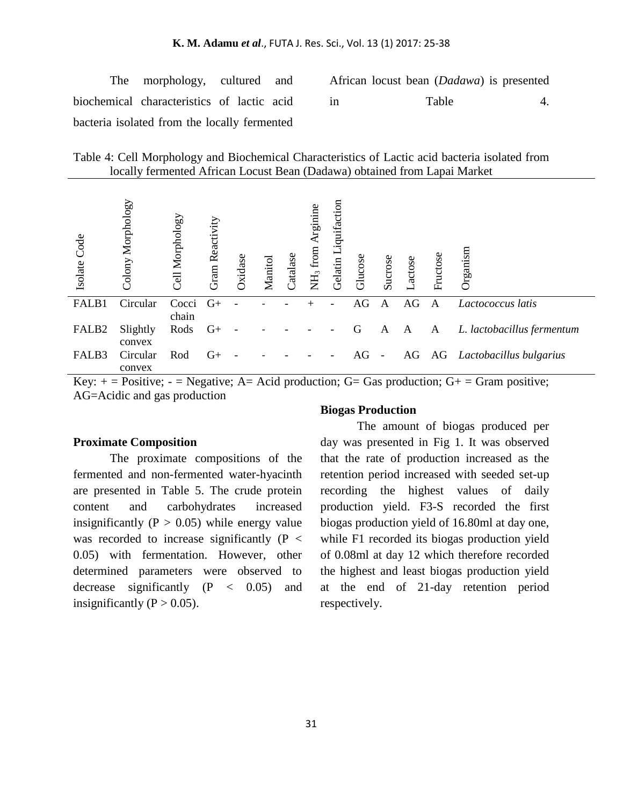The morphology, cultured and biochemical characteristics of lactic acid bacteria isolated from the locally fermented African locust bean (*Dadawa*) is presented in Table 4.

Table 4: Cell Morphology and Biochemical Characteristics of Lactic acid bacteria isolated from locally fermented African Locust Bean (Dadawa) obtained from Lapai Market

| Code<br>Isolate   | Morphology<br>Colony | ell Morphology | Gram Reactivity | Oxidase | Manitol | Catalase | Arginine<br>NH <sub>3</sub> from | Gelatin Liquifaction | Glucose | Sucrose                  | Lactose | Fructose | Organism                   |
|-------------------|----------------------|----------------|-----------------|---------|---------|----------|----------------------------------|----------------------|---------|--------------------------|---------|----------|----------------------------|
| FALB1             | Circular             | Cocci<br>chain | $G+$            |         |         |          |                                  |                      | AG      | A                        | AG      | A        | Lactococcus latis          |
| FALB <sub>2</sub> | Slightly<br>convex   | Rods           | $G+$            |         |         |          |                                  |                      | G       | A                        | A       | A        | L. lactobacillus fermentum |
| FALB3             | Circular<br>convex   | Rod            | G+              |         |         |          |                                  |                      | AG      | $\overline{\phantom{m}}$ | AG      | AG       | Lactobacillus bulgarius    |

Key:  $+$  = Positive; - = Negative; A= Acid production; G= Gas production; G+ = Gram positive; AG=Acidic and gas production

#### **Proximate Composition**

The proximate compositions of the fermented and non-fermented water-hyacinth are presented in Table 5. The crude protein content and carbohydrates increased insignificantly ( $P > 0.05$ ) while energy value was recorded to increase significantly  $(P \leq$ 0.05) with fermentation. However, other determined parameters were observed to decrease significantly (P < 0.05) and insignificantly ( $P > 0.05$ ).

#### **Biogas Production**

The amount of biogas produced per day was presented in Fig 1. It was observed that the rate of production increased as the retention period increased with seeded set-up recording the highest values of daily production yield. F3-S recorded the first biogas production yield of 16.80ml at day one, while F1 recorded its biogas production yield of 0.08ml at day 12 which therefore recorded the highest and least biogas production yield at the end of 21-day retention period respectively.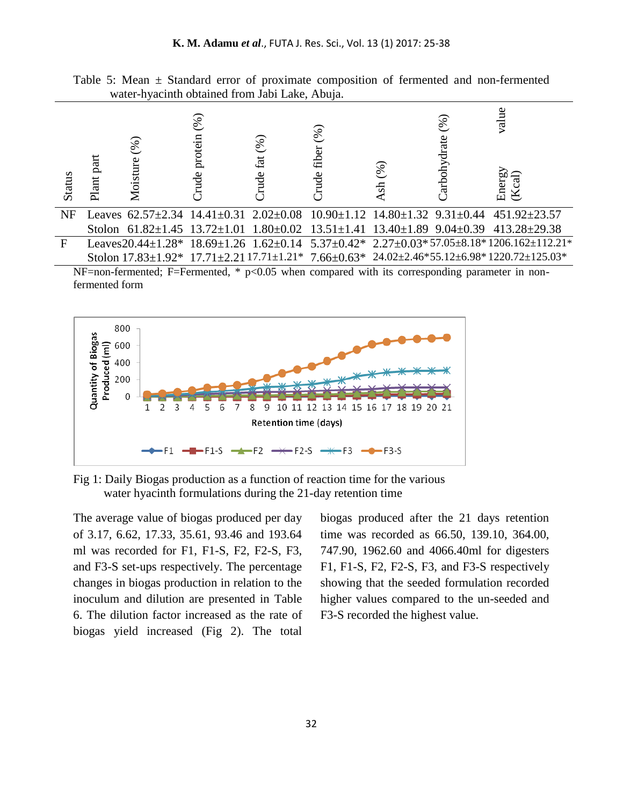|               |            | $m$ and $n$ , abiliting optimized in only based matrix, the $\alpha_1$ and |                                             |                  |                     |           |                                      |                                                                                                                                              |
|---------------|------------|----------------------------------------------------------------------------|---------------------------------------------|------------------|---------------------|-----------|--------------------------------------|----------------------------------------------------------------------------------------------------------------------------------------------|
| <b>Status</b> | ನ<br>Plant | (%)<br>Moisture                                                            | $\mathscr{S}_{\infty}$<br>protein<br>$ud$ e | (%)<br>fat<br>de | (%)<br>fiber<br>ude | (%)<br>Sh | $\mathscr{S}$<br>rate<br>ਚ<br>arbohy | value<br>Energy<br>(Kcal)                                                                                                                    |
| <b>NF</b>     |            |                                                                            |                                             |                  |                     |           |                                      | Leaves $62.57 \pm 2.34$ 14.41 $\pm 0.31$ 2.02 $\pm 0.08$ 10.90 $\pm 1.12$ 14.80 $\pm 1.32$ 9.31 $\pm 0.44$ 451.92 $\pm 23.57$                |
|               |            |                                                                            |                                             |                  |                     |           |                                      | Stolon $61.82 \pm 1.45$ $13.72 \pm 1.01$ $1.80 \pm 0.02$ $13.51 \pm 1.41$ $13.40 \pm 1.89$ $9.04 \pm 0.39$ $413.28 \pm 29.38$                |
| $\mathbf F$   |            |                                                                            |                                             |                  |                     |           |                                      | Leaves20.44±1.28* 18.69±1.26 1.62±0.14 5.37±0.42* 2.27±0.03*57.05±8.18*1206.162±112.21*                                                      |
|               |            |                                                                            |                                             |                  |                     |           |                                      | Stolon $17.83 \pm 1.92^*$ $17.71 \pm 2.21$ $17.71 \pm 1.21^*$ $7.66 \pm 0.63^*$ $24.02 \pm 2.46^*$ $55.12 \pm 6.98^*$ $1220.72 \pm 125.03^*$ |

Table 5: Mean  $\pm$  Standard error of proximate composition of fermented and non-fermented water-hyacinth obtained from Jabi Lake, Abuja.

NF=non-fermented; F=Fermented,  $*$  p<0.05 when compared with its corresponding parameter in nonfermented form



Fig 1: Daily Biogas production as a function of reaction time for the various water hyacinth formulations during the 21-day retention time

The average value of biogas produced per day of 3.17, 6.62, 17.33, 35.61, 93.46 and 193.64 ml was recorded for F1, F1-S, F2, F2-S, F3, and F3-S set-ups respectively. The percentage changes in biogas production in relation to the inoculum and dilution are presented in Table 6. The dilution factor increased as the rate of biogas yield increased (Fig 2). The total

biogas produced after the 21 days retention time was recorded as 66.50, 139.10, 364.00, 747.90, 1962.60 and 4066.40ml for digesters F1, F1-S, F2, F2-S, F3, and F3-S respectively showing that the seeded formulation recorded higher values compared to the un-seeded and F3-S recorded the highest value.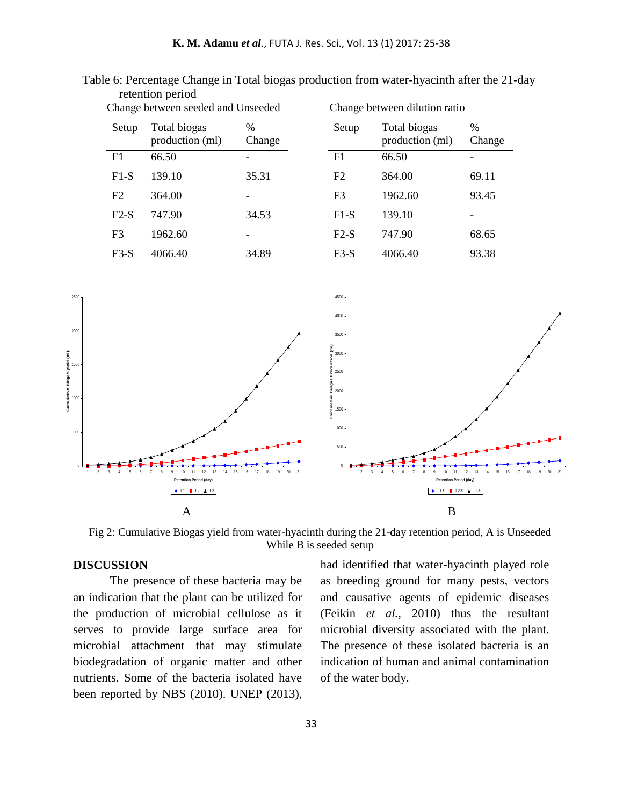|                                    | Table 6: Percentage Change in Total biogas production from water-hyacinth after the 21-day |
|------------------------------------|--------------------------------------------------------------------------------------------|
| retention period                   |                                                                                            |
| Change between seeded and Unseeded | Change between dilution ratio                                                              |

|        | Change between secure and Unsecued |                         |                | Change between unution ratio    |                         |
|--------|------------------------------------|-------------------------|----------------|---------------------------------|-------------------------|
| Setup  | Total biogas<br>production (ml)    | $\frac{0}{0}$<br>Change | Setup          | Total biogas<br>production (ml) | $\frac{0}{0}$<br>Change |
| F1     | 66.50                              |                         | F1             | 66.50                           |                         |
| $F1-S$ | 139.10                             | 35.31                   | F <sub>2</sub> | 364.00                          | 69.11                   |
| F2     | 364.00                             |                         | F3             | 1962.60                         | 93.45                   |
| $F2-S$ | 747.90                             | 34.53                   | $F1-S$         | 139.10                          |                         |
| F3     | 1962.60                            |                         | $F2-S$         | 747.90                          | 68.65                   |
| $F3-S$ | 4066.40                            | 34.89                   | $F3-S$         | 4066.40                         | 93.38                   |



Fig 2: Cumulative Biogas yield from water-hyacinth during the 21-day retention period, A is Unseeded While B is seeded setup

### **DISCUSSION**

The presence of these bacteria may be an indication that the plant can be utilized for the production of microbial cellulose as it serves to provide large surface area for microbial attachment that may stimulate biodegradation of organic matter and other nutrients. Some of the bacteria isolated have been reported by NBS (2010). UNEP (2013),

had identified that water-hyacinth played role as breeding ground for many pests, vectors and causative agents of epidemic diseases (Feikin *et al.,* 2010) thus the resultant microbial diversity associated with the plant. The presence of these isolated bacteria is an indication of human and animal contamination of the water body.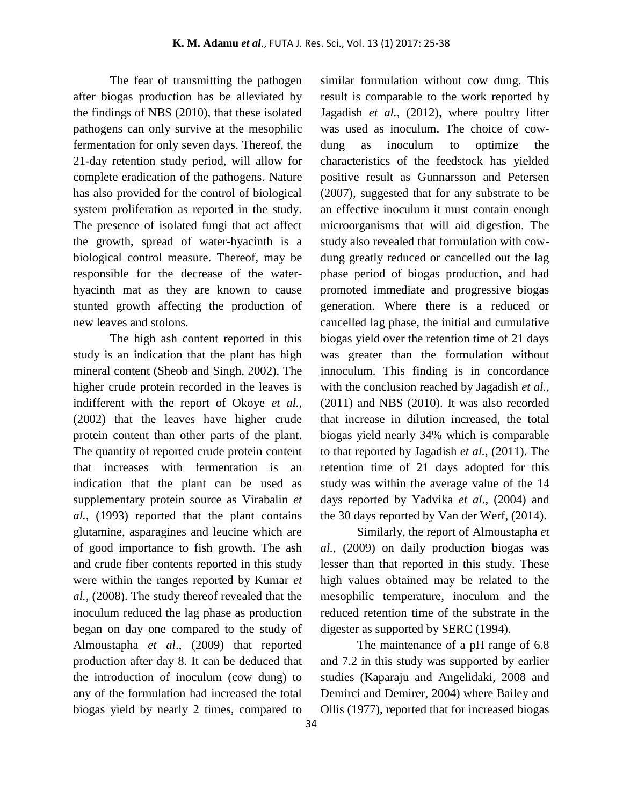The fear of transmitting the pathogen after biogas production has be alleviated by the findings of NBS (2010), that these isolated pathogens can only survive at the mesophilic fermentation for only seven days. Thereof, the 21-day retention study period, will allow for complete eradication of the pathogens. Nature has also provided for the control of biological system proliferation as reported in the study. The presence of isolated fungi that act affect the growth, spread of water-hyacinth is a biological control measure. Thereof, may be responsible for the decrease of the waterhyacinth mat as they are known to cause stunted growth affecting the production of new leaves and stolons.

The high ash content reported in this study is an indication that the plant has high mineral content (Sheob and Singh, 2002). The higher crude protein recorded in the leaves is indifferent with the report of Okoye *et al.,*  (2002) that the leaves have higher crude protein content than other parts of the plant. The quantity of reported crude protein content that increases with fermentation is an indication that the plant can be used as supplementary protein source as Virabalin *et al.,* (1993) reported that the plant contains glutamine, asparagines and leucine which are of good importance to fish growth. The ash and crude fiber contents reported in this study were within the ranges reported by Kumar *et al.,* (2008). The study thereof revealed that the inoculum reduced the lag phase as production began on day one compared to the study of Almoustapha *et al*., (2009) that reported production after day 8. It can be deduced that the introduction of inoculum (cow dung) to any of the formulation had increased the total biogas yield by nearly 2 times, compared to

similar formulation without cow dung. This result is comparable to the work reported by Jagadish *et al.,* (2012), where poultry litter was used as inoculum. The choice of cowdung as inoculum to optimize the characteristics of the feedstock has yielded positive result as Gunnarsson and Petersen (2007), suggested that for any substrate to be an effective inoculum it must contain enough microorganisms that will aid digestion. The study also revealed that formulation with cowdung greatly reduced or cancelled out the lag phase period of biogas production, and had promoted immediate and progressive biogas generation. Where there is a reduced or cancelled lag phase, the initial and cumulative biogas yield over the retention time of 21 days was greater than the formulation without innoculum. This finding is in concordance with the conclusion reached by Jagadish *et al.,* (2011) and NBS (2010). It was also recorded that increase in dilution increased, the total biogas yield nearly 34% which is comparable to that reported by Jagadish *et al.,* (2011). The retention time of 21 days adopted for this study was within the average value of the 14 days reported by Yadvika *et al*., (2004) and the 30 days reported by Van der Werf, (2014).

Similarly, the report of Almoustapha *et al.,* (2009) on daily production biogas was lesser than that reported in this study. These high values obtained may be related to the mesophilic temperature, inoculum and the reduced retention time of the substrate in the digester as supported by SERC (1994).

The maintenance of a pH range of 6.8 and 7.2 in this study was supported by earlier studies (Kaparaju and Angelidaki, 2008 and Demirci and Demirer, 2004) where Bailey and Ollis (1977), reported that for increased biogas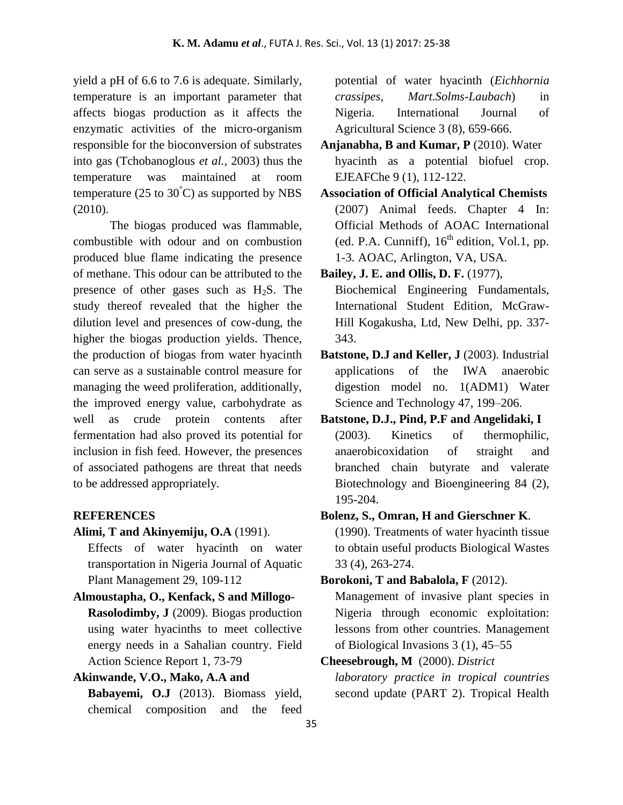yield a pH of 6.6 to 7.6 is adequate. Similarly, temperature is an important parameter that affects biogas production as it affects the enzymatic activities of the micro-organism responsible for the bioconversion of substrates into gas (Tchobanoglous *et al.*, 2003) thus the temperature was maintained at room temperature (25 to  $30^{\circ}$ C) as supported by NBS (2010).

The biogas produced was flammable, combustible with odour and on combustion produced blue flame indicating the presence of methane. This odour can be attributed to the presence of other gases such as  $H_2S$ . The study thereof revealed that the higher the dilution level and presences of cow-dung, the higher the biogas production yields. Thence, the production of biogas from water hyacinth can serve as a sustainable control measure for managing the weed proliferation, additionally, the improved energy value, carbohydrate as well as crude protein contents after fermentation had also proved its potential for inclusion in fish feed. However, the presences of associated pathogens are threat that needs to be addressed appropriately.

#### **REFERENCES**

**Alimi, T and Akinyemiju, O.A** (1991).

Effects of water hyacinth on water transportation in Nigeria Journal of Aquatic Plant Management 29, 109-112

**Almoustapha, O., Kenfack, S and Millogo-Rasolodimby, J** (2009). Biogas production using water hyacinths to meet collective energy needs in a Sahalian country. Field Action Science Report 1, 73-79

### **Akinwande, V.O., Mako, A.A and**

**Babayemi, O.J** (2013). Biomass yield, chemical composition and the feed potential of water hyacinth (*Eichhornia crassipes, Mart.Solms-Laubach*) in Nigeria. International Journal of Agricultural Science 3 (8), 659-666.

- **Anjanabha, B and Kumar, P** (2010). Water hyacinth as a potential biofuel crop. EJEAFChe 9 (1), 112-122.
- **Association of Official Analytical Chemists** (2007) Animal feeds. Chapter 4 In: Official Methods of AOAC International (ed. P.A. Cunniff),  $16<sup>th</sup>$  edition, Vol.1, pp. 1-3. AOAC, Arlington, VA, USA.

**Bailey, J. E. and Ollis, D. F.** (1977),

Biochemical Engineering Fundamentals, International Student Edition, McGraw-Hill Kogakusha, Ltd, New Delhi, pp. 337- 343.

- **Batstone, D.J and Keller, J** (2003). Industrial applications of the IWA anaerobic digestion model no. 1(ADM1) Water Science and Technology 47, 199–206.
- **Batstone, D.J., Pind, P.F and Angelidaki, I** (2003). Kinetics of thermophilic, anaerobicoxidation of straight and branched chain butyrate and valerate Biotechnology and Bioengineering 84 (2), 195-204.

### **Bolenz, S., Omran, H and Gierschner K**.

(1990). Treatments of water hyacinth tissue to obtain useful products Biological Wastes 33 (4), 263-274.

**Borokoni, T and Babalola, F** (2012).

Management of invasive plant species in Nigeria through economic exploitation: lessons from other countries. Management of Biological Invasions 3 (1), 45–55

### **Cheesebrough, M** (2000). *District*

*laboratory practice in tropical countries* second update (PART 2). Tropical Health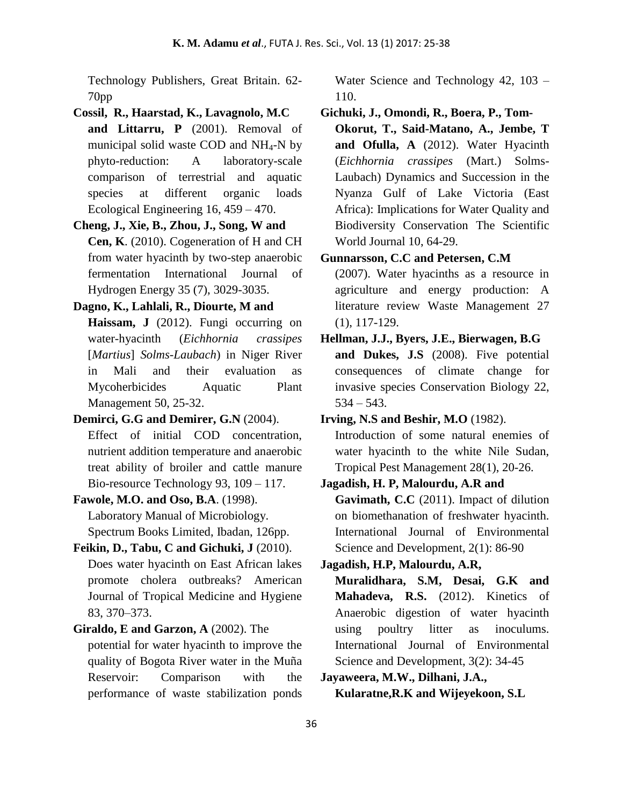Technology Publishers, Great Britain. 62- 70pp

**Cossil, R., Haarstad, K., Lavagnolo, M.C and Littarru, P** (2001). Removal of municipal solid waste COD and  $NH_4$ -N by phyto-reduction: A laboratory-scale comparison of terrestrial and aquatic species at different organic loads Ecological Engineering 16, 459 – 470.

**Cheng, J., Xie, B., Zhou, J., Song, W and Cen, K**. (2010). Cogeneration of H and CH from water hyacinth by two-step anaerobic fermentation International Journal of Hydrogen Energy 35 (7), 3029-3035.

**Dagno, K., Lahlali, R., Diourte, M and**

**Haissam, J** (2012). Fungi occurring on water-hyacinth (*Eichhornia crassipes*  [*Martius*] *Solms-Laubach*) in Niger River in Mali and their evaluation as Mycoherbicides Aquatic Plant Management 50, 25-32.

**Demirci, G.G and Demirer, G.N** (2004). Effect of initial COD concentration, nutrient addition temperature and anaerobic treat ability of broiler and cattle manure Bio-resource Technology 93, 109 – 117.

**Fawole, M.O. and Oso, B.A**. (1998). Laboratory Manual of Microbiology. Spectrum Books Limited, Ibadan, 126pp.

**Feikin, D., Tabu, C and Gichuki, J** (2010). Does water hyacinth on East African lakes promote cholera outbreaks? American Journal of Tropical Medicine and Hygiene 83, 370–373.

**Giraldo, E and Garzon, A** (2002). The potential for water hyacinth to improve the quality of Bogota River water in the Muña Reservoir: Comparison with the performance of waste stabilization ponds

Water Science and Technology 42, 103 – 110.

**Gichuki, J., Omondi, R., Boera, P., Tom-Okorut, T., Said-Matano, A., Jembe, T and Ofulla, A** (2012). Water Hyacinth (*Eichhornia crassipes* (Mart.) Solms-Laubach) Dynamics and Succession in the Nyanza Gulf of Lake Victoria (East Africa): Implications for Water Quality and Biodiversity Conservation The Scientific World Journal 10, 64-29.

**Gunnarsson, C.C and Petersen, C.M**

(2007). Water hyacinths as a resource in agriculture and energy production: A literature review Waste Management 27 (1), 117-129.

**Hellman, J.J., Byers, J.E., Bierwagen, B.G and Dukes, J.S** (2008). Five potential consequences of climate change for invasive species Conservation Biology 22, 534 – 543.

**Irving, N.S and Beshir, M.O** (1982). Introduction of some natural enemies of water hyacinth to the white Nile Sudan, Tropical Pest Management 28(1), 20-26.

**Jagadish, H. P, Malourdu, A.R and Gavimath, C.C** (2011). Impact of dilution on biomethanation of freshwater hyacinth. International Journal of Environmental Science and Development, 2(1): 86-90

**Jagadish, H.P, Malourdu, A.R,**

**Muralidhara, S.M, Desai, G.K and Mahadeva, R.S.** (2012). Kinetics of Anaerobic digestion of water hyacinth using poultry litter as inoculums. International Journal of Environmental Science and Development, 3(2): 34-45

**Jayaweera, M.W., Dilhani, J.A., Kularatne,R.K and Wijeyekoon, S.L**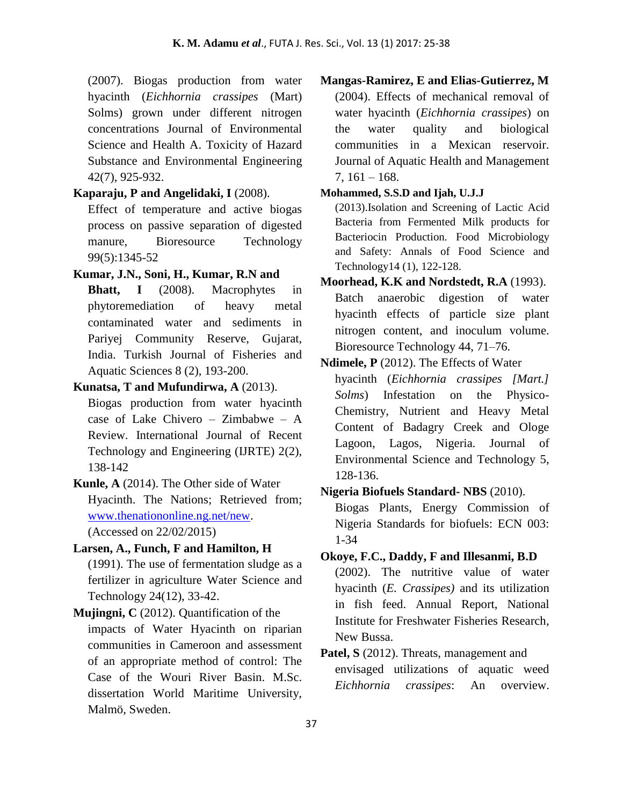(2007). Biogas production from water hyacinth (*Eichhornia crassipes* (Mart) Solms) grown under different nitrogen concentrations Journal of Environmental Science and Health A. Toxicity of Hazard Substance and Environmental Engineering 42(7), 925-932.

### **Kaparaju, P and Angelidaki, I** (2008).

Effect of temperature and active biogas process on passive separation of digested manure, Bioresource Technology 99(5):1345-52

**Kumar, J.N., Soni, H., Kumar, R.N and**

**Bhatt, I** (2008). Macrophytes in phytoremediation of heavy metal contaminated water and sediments in Pariyej Community Reserve, Gujarat, India. Turkish Journal of Fisheries and Aquatic Sciences 8 (2), 193-200.

- **Kunatsa, T and Mufundirwa, A** (2013).
	- Biogas production from water hyacinth case of Lake Chivero – Zimbabwe – A Review. International Journal of Recent Technology and Engineering (IJRTE) 2(2), 138-142
- **Kunle, A** (2014). The Other side of Water Hyacinth. The Nations; Retrieved from; [www.thenationonline.ng.net/new.](http://www.thenationonline.ng.net/new) (Accessed on 22/02/2015)
- **Larsen, A., Funch, F and Hamilton, H** (1991). The use of fermentation sludge as a fertilizer in agriculture Water Science and Technology 24(12), 33-42.
- **Mujingni, C** (2012). Quantification of the impacts of Water Hyacinth on riparian communities in Cameroon and assessment of an appropriate method of control: The Case of the Wouri River Basin. M.Sc. dissertation World Maritime University, Malmö, Sweden.

**Mangas-Ramirez, E and Elias-Gutierrez, M** (2004). Effects of mechanical removal of water hyacinth (*Eichhornia crassipes*) on the water quality and biological communities in a Mexican reservoir. Journal of Aquatic Health and Management 7, 161 – 168.

#### **Mohammed, S.S.D and Ijah, U.J.J**

(2013).Isolation and Screening of Lactic Acid Bacteria from Fermented Milk products for Bacteriocin Production. Food Microbiology and Safety: Annals of Food Science and Technology14 (1), 122-128.

**Moorhead, K.K and Nordstedt, R.A** (1993). Batch anaerobic digestion of water hyacinth effects of particle size plant nitrogen content, and inoculum volume. Bioresource Technology 44, 71–76.

**Ndimele, P** (2012). The Effects of Water hyacinth (*Eichhornia crassipes [Mart.] Solms*) Infestation on the Physico-Chemistry, Nutrient and Heavy Metal Content of Badagry Creek and Ologe Lagoon, Lagos, Nigeria. Journal of Environmental Science and Technology 5, 128-136.

### **Nigeria Biofuels Standard- NBS** (2010).

Biogas Plants, Energy Commission of Nigeria Standards for biofuels: ECN 003: 1-34

# **Okoye, F.C., Daddy, F and Illesanmi, B.D** (2002). The nutritive value of water hyacinth (*E. Crassipes)* and its utilization in fish feed. Annual Report, National Institute for Freshwater Fisheries Research*,*  New Bussa.

## **Patel, S** (2012). Threats, management and envisaged utilizations of aquatic weed *Eichhornia crassipes*: An overview.